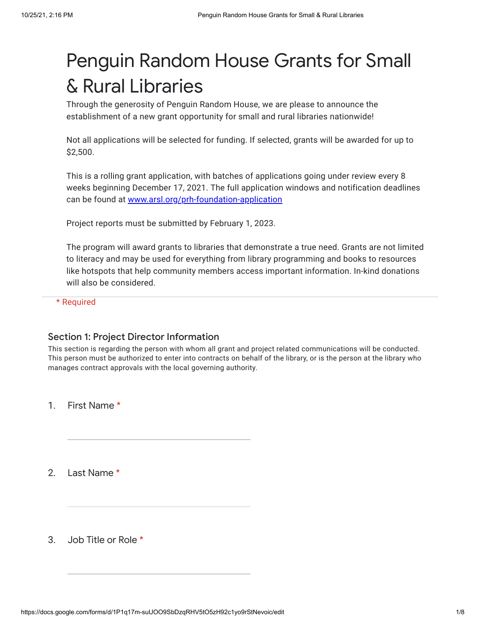# Penguin Random House Grants for Small & Rural Libraries

Through the generosity of Penguin Random House, we are please to announce the establishment of a new grant opportunity for small and rural libraries nationwide!

Not all applications will be selected for funding. If selected, grants will be awarded for up to \$2,500.

This is a rolling grant application, with batches of applications going under review every 8 weeks beginning December 17, 2021. The full application windows and notification deadlines can be found at [www.arsl.org/prh-foundation-application](https://www.google.com/url?q=http://www.arsl.org/prh-foundation-application&sa=D&source=editors&ust=1635200161137000&usg=AOvVaw35rdIHAHc4KXDT2VEopIYK)

Project reports must be submitted by February 1, 2023.

The program will award grants to libraries that demonstrate a true need. Grants are not limited to literacy and may be used for everything from library programming and books to resources like hotspots that help community members access important information. In-kind donations will also be considered.

\* Required

## Section 1: Project Director Information

This section is regarding the person with whom all grant and project related communications will be conducted. This person must be authorized to enter into contracts on behalf of the library, or is the person at the library who manages contract approvals with the local governing authority.

1. First Name \*

2. Last Name \*

3. Job Title or Role \*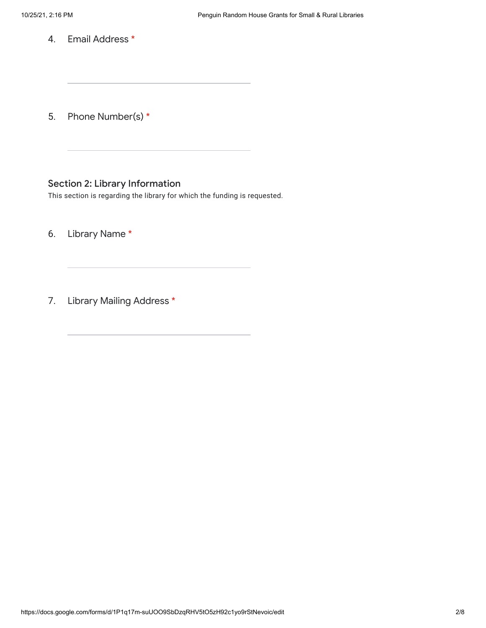4. Email Address \*

5. Phone Number(s) \*

# Section 2: Library Information

This section is regarding the library for which the funding is requested.

6. Library Name \*

7. Library Mailing Address \*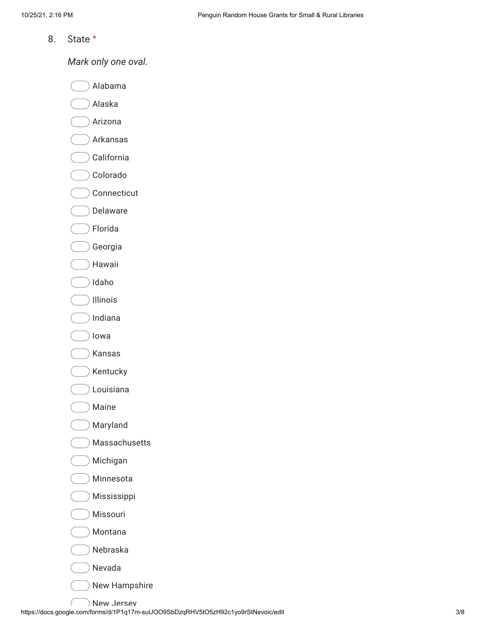8. State \*

*Mark only one oval.*

Alabama

Alaska

Arizona

Arkansas

California

Colorado

Connecticut

Delaware

Florida

Georgia

Hawaii

Idaho

Illinois

 $)$  Indiana

Iowa

Kansas

Kentucky

Louisiana

Maine

Maryland

Massachusetts

Michigan

Minnesota

Mississippi

Missouri

Montana

Nebraska

Nevada

New Hampshire

https://docs.google.com/forms/d/1P1q17m-suUOO9SbDzqRHV5tO5zH92c1yo9rStNevoic/edit 3/8 New Jersey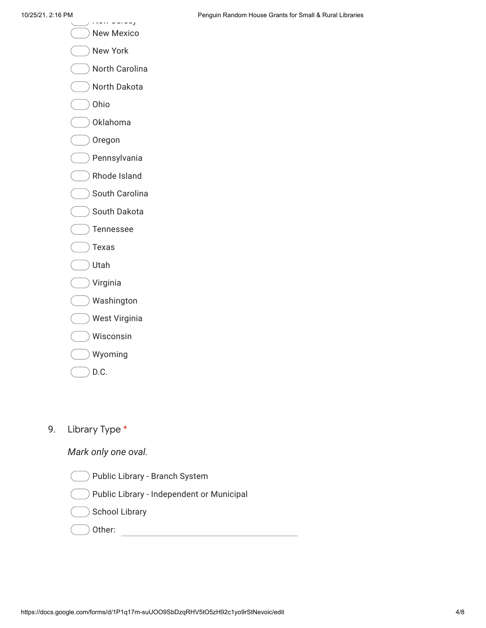- $\dots$  Jersey New Mexico
- 
- New York
- North Carolina
- North Dakota
- Ohio
- Oklahoma
- Oregon
- Pennsylvania
- Rhode Island
- South Carolina
- South Dakota
- Tennessee
- Texas
- Utah
- Virginia
- Washington
- West Virginia
- Wisconsin
- Wyoming
- D.C.

#### 9. Library Type \*

# *Mark only one oval.*

- Public Library Branch System
- Public Library Independent or Municipal
- School Library
- Other: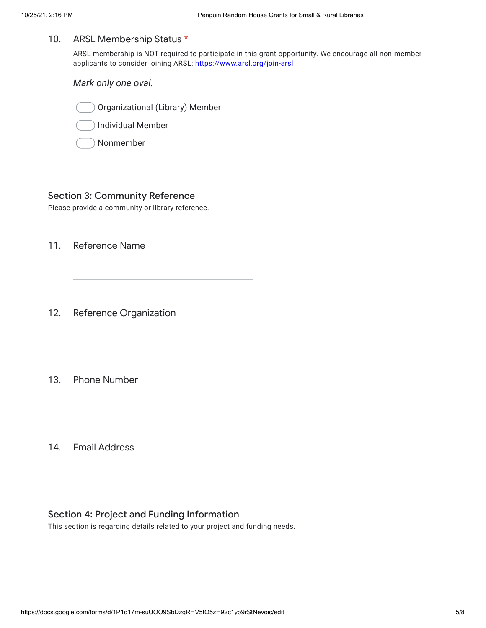#### 10. ARSL Membership Status \*

ARSL membership is NOT required to participate in this grant opportunity. We encourage all non-member applicants to consider joining ARSL: [https://www.arsl.org/join-arsl](https://www.google.com/url?q=https://www.arsl.org/join-arsl&sa=D&source=editors&ust=1635200161142000&usg=AOvVaw2-5kJELxw8iFdl8lSsolnK)

*Mark only one oval.*



Individual Member

Nonmember

#### Section 3: Community Reference

Please provide a community or library reference.

11. Reference Name

12. Reference Organization

13. Phone Number

14. Email Address

## Section 4: Project and Funding Information

This section is regarding details related to your project and funding needs.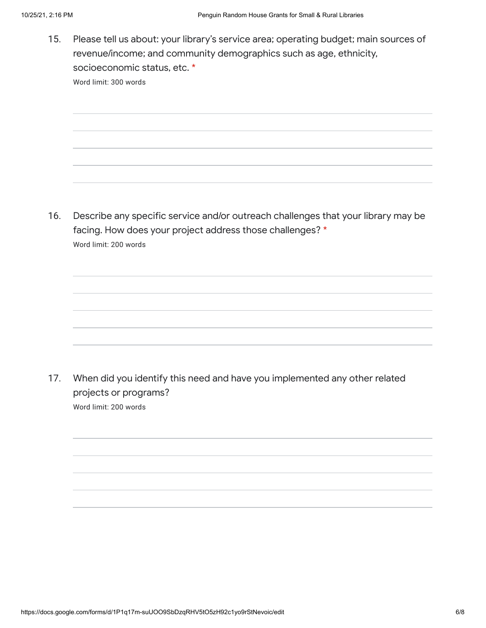15. Please tell us about: your library's service area; operating budget; main sources of revenue/income; and community demographics such as age, ethnicity, socioeconomic status, etc. \* Word limit: 300 words

16. Describe any specific service and/or outreach challenges that your library may be facing. How does your project address those challenges? \* Word limit: 200 words

17. When did you identify this need and have you implemented any other related projects or programs? Word limit: 200 words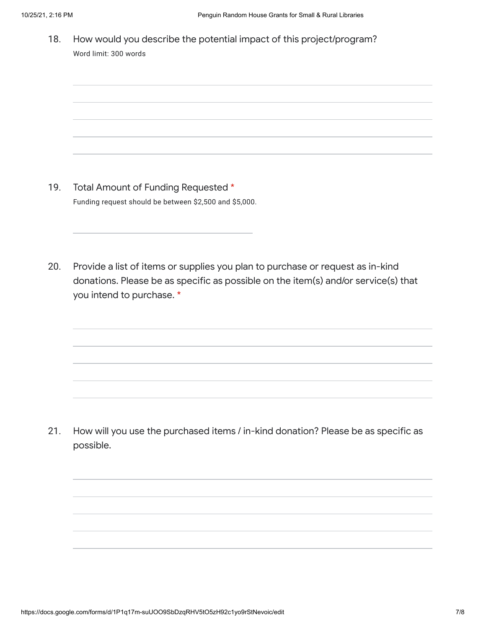18. How would you describe the potential impact of this project/program? Word limit: 300 words

- 19. Total Amount of Funding Requested \* Funding request should be between \$2,500 and \$5,000.
- 20. Provide a list of items or supplies you plan to purchase or request as in-kind donations. Please be as specific as possible on the item(s) and/or service(s) that you intend to purchase. \*

21. How will you use the purchased items / in-kind donation? Please be as specific as possible.